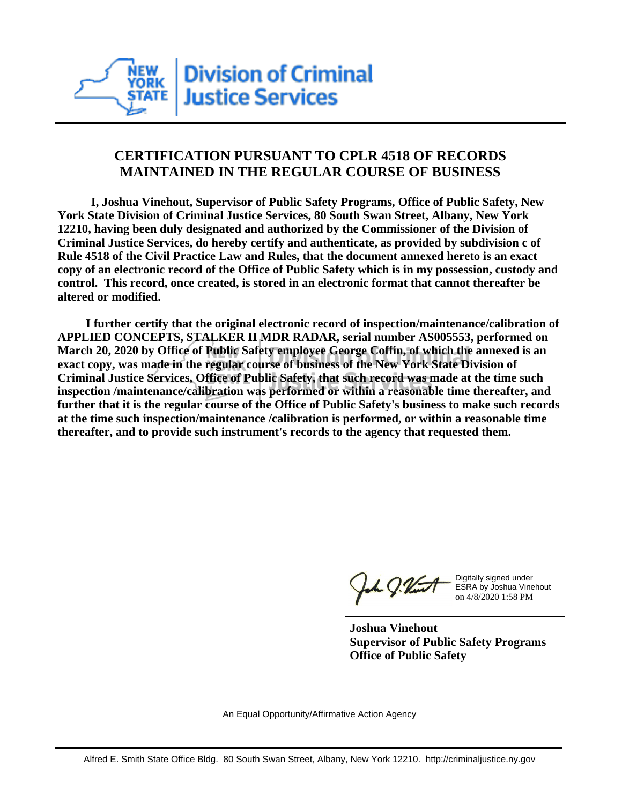

## **CERTIFICATION PURSUANT TO CPLR 4518 OF RECORDS MAINTAINED IN THE REGULAR COURSE OF BUSINESS**

 **I, Joshua Vinehout, Supervisor of Public Safety Programs, Office of Public Safety, New York State Division of Criminal Justice Services, 80 South Swan Street, Albany, New York 12210, having been duly designated and authorized by the Commissioner of the Division of Criminal Justice Services, do hereby certify and authenticate, as provided by subdivision c of Rule 4518 of the Civil Practice Law and Rules, that the document annexed hereto is an exact copy of an electronic record of the Office of Public Safety which is in my possession, custody and control. This record, once created, is stored in an electronic format that cannot thereafter be altered or modified.**

 **I further certify that the original electronic record of inspection/maintenance/calibration of APPLIED CONCEPTS, STALKER II MDR RADAR, serial number AS005553, performed on March 20, 2020 by Office of Public Safety employee George Coffin, of which the annexed is an exact copy, was made in the regular course of business of the New York State Division of Criminal Justice Services, Office of Public Safety, that such record was made at the time such inspection /maintenance/calibration was performed or within a reasonable time thereafter, and further that it is the regular course of the Office of Public Safety's business to make such records at the time such inspection/maintenance /calibration is performed, or within a reasonable time thereafter, and to provide such instrument's records to the agency that requested them.**

h J.Vint

Digitally signed under ESRA by Joshua Vinehout on 4/8/2020 1:58 PM

**Joshua Vinehout Supervisor of Public Safety Programs Office of Public Safety**

An Equal Opportunity/Affirmative Action Agency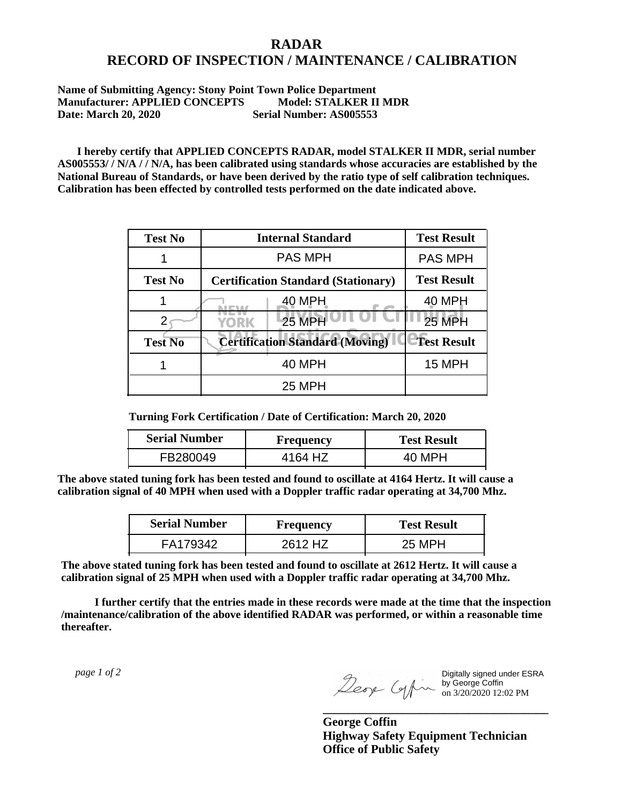## **RADAR RECORD OF INSPECTION / MAINTENANCE / CALIBRATION**

## **Name of Submitting Agency: Stony Point Town Police Department Manufacturer: APPLIED CONCEPTS Model: STALKER II MDR Date: March 20, 2020 Serial Number: AS005553**

 **I hereby certify that APPLIED CONCEPTS RADAR, model STALKER II MDR, serial number AS005553/ / N/A / / N/A, has been calibrated using standards whose accuracies are established by the National Bureau of Standards, or have been derived by the ratio type of self calibration techniques. Calibration has been effected by controlled tests performed on the date indicated above.**

| <b>Test No</b> | <b>Internal Standard</b>                   | <b>Test Result</b> |
|----------------|--------------------------------------------|--------------------|
|                | <b>PAS MPH</b>                             | <b>PAS MPH</b>     |
| <b>Test No</b> | <b>Certification Standard (Stationary)</b> | <b>Test Result</b> |
|                | 40 MPH                                     | 40 MPH             |
|                | <b>25 MPH</b><br>YORK                      | 25 MPH             |
| <b>Test No</b> | <b>Certification Standard (Moving)</b>     | <b>Test Result</b> |
|                | <b>40 MPH</b>                              | <b>15 MPH</b>      |
|                | <b>25 MPH</b>                              |                    |

**Turning Fork Certification / Date of Certification: March 20, 2020**

| <b>Serial Number</b> | Frequency | <b>Test Result</b> |
|----------------------|-----------|--------------------|
| FB280049             | 4164 HZ   | 40 MPH             |

**The above stated tuning fork has been tested and found to oscillate at 4164 Hertz. It will cause a calibration signal of 40 MPH when used with a Doppler traffic radar operating at 34,700 Mhz.**

| <b>Serial Number</b> | Frequency | <b>Test Result</b> |
|----------------------|-----------|--------------------|
| FA179342             | 2612 HZ   | 25 MPH             |

**The above stated tuning fork has been tested and found to oscillate at 2612 Hertz. It will cause a calibration signal of 25 MPH when used with a Doppler traffic radar operating at 34,700 Mhz.**

 **I further certify that the entries made in these records were made at the time that the inspection /maintenance/calibration of the above identified RADAR was performed, or within a reasonable time thereafter.**

 *page 1 of 2* 

Digitally signed under ESRA by George Coffin on 3/20/2020 12:02 PM

**George Coffin Highway Safety Equipment Technician Office of Public Safety**

**\_\_\_\_\_\_\_\_\_\_\_\_\_\_\_\_\_\_\_\_\_\_\_\_\_\_\_\_\_\_\_\_\_\_\_\_\_**